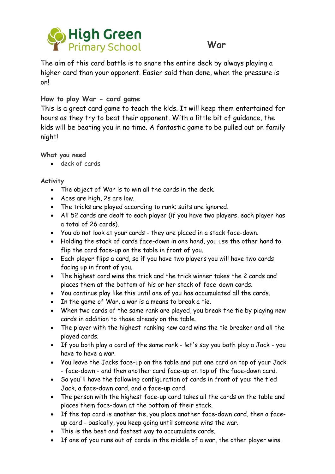

## **War**

The aim of this card battle is to snare the entire deck by always playing a higher card than your opponent. Easier said than done, when the pressure is on!

#### **How to play War - card game**

This is a great card game to teach the kids. It will keep them entertained for hours as they try to beat their opponent. With a little bit of guidance, the kids will be beating you in no time. A fantastic game to be pulled out on family night!

#### **What you need**

deck of cards

#### **Activity**

- The object of War is to win all the cards in the deck.
- Aces are high, 2s are low.
- The tricks are played according to rank; suits are ignored.
- All 52 cards are dealt to each player (if you have two players, each player has a total of 26 cards).
- You do not look at your cards they are placed in a stack face-down.
- Holding the stack of cards face-down in one hand, you use the other hand to flip the card face-up on the table in front of you.
- Each player flips a card, so if you have two players you will have two cards facing up in front of you.
- The highest card wins the trick and the trick winner takes the 2 cards and places them at the bottom of his or her stack of face-down cards.
- You continue play like this until one of you has accumulated all the cards.
- In the game of War, a war is a means to break a tie.
- When two cards of the same rank are played, you break the tie by playing new cards in addition to those already on the table.
- The player with the highest-ranking new card wins the tie breaker and all the played cards.
- If you both play a card of the same rank let's say you both play a Jack you have to have a war.
- You leave the Jacks face-up on the table and put one card on top of your Jack - face-down - and then another card face-up on top of the face-down card.
- So you'll have the following configuration of cards in front of you: the tied Jack, a face-down card, and a face-up card.
- The person with the highest face-up card takes all the cards on the table and places them face-down at the bottom of their stack.
- If the top card is another tie, you place another face-down card, then a faceup card - basically, you keep going until someone wins the war.
- This is the best and fastest way to accumulate cards.
- If one of you runs out of cards in the middle of a war, the other player wins.